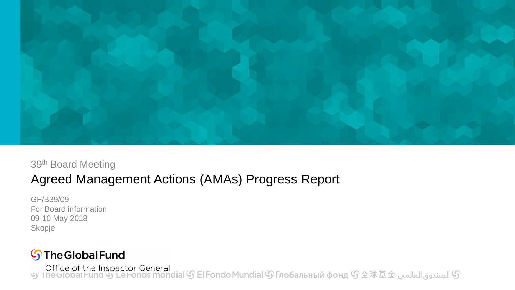

#### 39th Board Meeting

### Agreed Management Actions (AMAs) Progress Report

GF/B39/09 For Board information 09-10 May 2018 Skopje

### **S** The Global Fund

© الصندوق العالمي & Office of the Inspector General<br>۞ الصندوق العالمي عاد Le Fonds mondial و a De Fondo Mundial ( ب ) a Ce fonds mondial ( و ) a Certion as mondia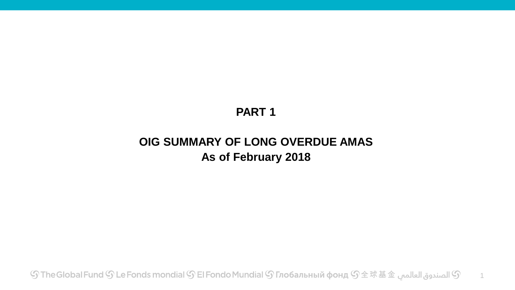### **PART 1**

### **OIG SUMMARY OF LONG OVERDUE AMAS As of February 2018**

 $\mathbb G$  El Fondo Mundial  $\mathbb G$  Глобальный фонд  $\mathbb G$   $\hat{\mathbb F}$   $\hat{\mathbb F}$  الصندوق العالمس  $\mathbb G$ 1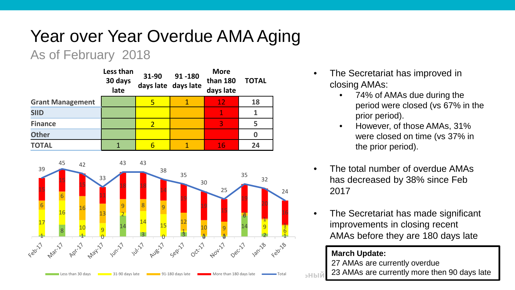## Year over Year Overdue AMA Aging

### As of February 2018

|                         | Less than<br>30 days<br>late | 31-90 | 91-180<br>days late days late | <b>More</b><br>than 180<br>days late | <b>TOTAL</b> |
|-------------------------|------------------------------|-------|-------------------------------|--------------------------------------|--------------|
| <b>Grant Management</b> |                              | 5     |                               | 12                                   | 18           |
| <b>SIID</b>             |                              |       |                               | 1                                    |              |
| <b>Finance</b>          |                              |       |                               | 3                                    |              |
| <b>Other</b>            |                              |       |                               |                                      |              |
| <b>TOTAL</b>            |                              | 6     |                               | 16                                   | 24           |



- The Secretariat has improved in closing AMAs:
	- 74% of AMAs due during the period were closed (vs 67% in the prior period).
	- However, of those AMAs, 31% were closed on time (vs 37% in the prior period).
- The total number of overdue AMAs has decreased by 38% since Feb 2017
- The Secretariat has made significant improvements in closing recent AMAs before they are 180 days late

#### **March Update:**

27 AMAs are currently overdue

2 23 AMAs are currently more then 90 days late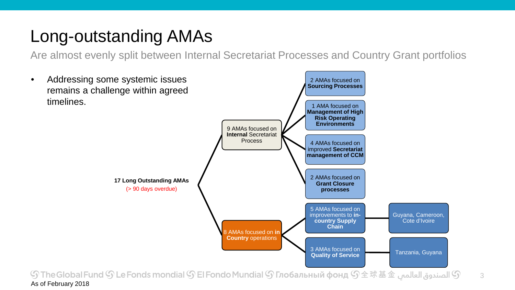### Long-outstanding AMAs

Are almost evenly split between Internal Secretariat Processes and Country Grant portfolios

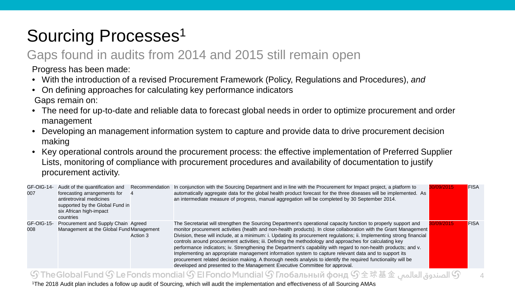## Sourcing Processes<sup>1</sup>

### Gaps found in audits from 2014 and 2015 still remain open

Progress has been made:

- With the introduction of a revised Procurement Framework (Policy, Regulations and Procedures), *and*
- On defining approaches for calculating key performance indicators Gaps remain on:
- The need for up-to-date and reliable data to forecast global needs in order to optimize procurement and order management
- Developing an management information system to capture and provide data to drive procurement decision making
- Key operational controls around the procurement process: the effective implementation of Preferred Supplier Lists, monitoring of compliance with procurement procedures and availability of documentation to justify procurement activity.

| GF-OIG-14-<br>007 | Audit of the quantification and<br>forecasting arrangements for<br>antiretroviral medicines<br>supported by the Global Fund in<br>six African high-impact<br>countries | Recommendation | In conjunction with the Sourcing Department and in line with the Procurement for Impact project, a platform to<br>automatically aggregate data for the global health product forecast for the three diseases will be implemented. As<br>an intermediate measure of progress, manual aggregation will be completed by 30 September 2014.                                                                                                                                                                                                                                                                                                                                                                                                                                                                                                                                                                 | 0/09/2015 | <b>FISA</b> |
|-------------------|------------------------------------------------------------------------------------------------------------------------------------------------------------------------|----------------|---------------------------------------------------------------------------------------------------------------------------------------------------------------------------------------------------------------------------------------------------------------------------------------------------------------------------------------------------------------------------------------------------------------------------------------------------------------------------------------------------------------------------------------------------------------------------------------------------------------------------------------------------------------------------------------------------------------------------------------------------------------------------------------------------------------------------------------------------------------------------------------------------------|-----------|-------------|
| GF-OIG-15-<br>008 | Procurement and Supply Chain Agreed<br>Management at the Global Fund Management                                                                                        | Action 3       | The Secretariat will strengthen the Sourcing Department's operational capacity function to properly support and<br>monitor procurement activities (health and non-health products). In close collaboration with the Grant Management<br>Division, these will include, at a minimum: i. Updating its procurement regulations; ii. Implementing strong financial<br>controls around procurement activities; iii. Defining the methodology and approaches for calculating key<br>performance indicators; iv. Strengthening the Department's capability with regard to non-health products; and v.<br>Implementing an appropriate management information system to capture relevant data and to support its<br>procurement related decision making. A thorough needs analysis to identify the required functionality will be<br>developed and presented to the Management Executive Committee for approval. | 0/09/2015 | <b>FISA</b> |

#### ① الصندوق العالمي G The Global Fund  $\mathbb{S}$  Le Fonds mondial  $\mathbb{S}$  El Fondo Mundial  $\mathbb{S}$  Глобальный фонд  $\mathbb{S}$ 全球基金 الصندوق العالمي

4

1The 2018 Audit plan includes a follow up audit of Sourcing, which will audit the implementation and effectiveness of all Sourcing AMAs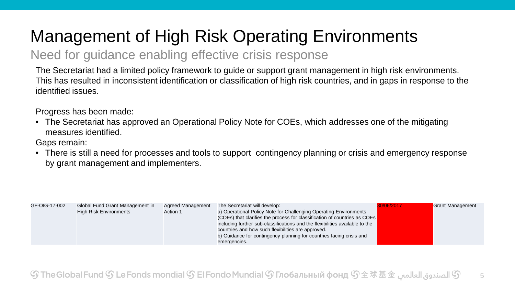## Management of High Risk Operating Environments

### Need for guidance enabling effective crisis response

The Secretariat had a limited policy framework to guide or support grant management in high risk environments. This has resulted in inconsistent identification or classification of high risk countries, and in gaps in response to the identified issues.

Progress has been made:

• The Secretariat has approved an Operational Policy Note for COEs, which addresses one of the mitigating measures identified.

Gaps remain:

• There is still a need for processes and tools to support contingency planning or crisis and emergency response by grant management and implementers.

| GF-OIG-17-002<br><b>High Risk Environments</b> | Global Fund Grant Management in<br>Agreed Management<br>Action 1 | The Secretariat will develop:<br>a) Operational Policy Note for Challenging Operating Environments<br>(COEs) that clarifies the process for classification of countries as COEs<br>including further sub-classifications and the flexibilities available to the<br>countries and how such flexibilities are approved.<br>b) Guidance for contingency planning for countries facing crisis and<br>emergencies. | 0/06/2017 | <b>Grant Management</b> |
|------------------------------------------------|------------------------------------------------------------------|---------------------------------------------------------------------------------------------------------------------------------------------------------------------------------------------------------------------------------------------------------------------------------------------------------------------------------------------------------------------------------------------------------------|-----------|-------------------------|
|------------------------------------------------|------------------------------------------------------------------|---------------------------------------------------------------------------------------------------------------------------------------------------------------------------------------------------------------------------------------------------------------------------------------------------------------------------------------------------------------------------------------------------------------|-----------|-------------------------|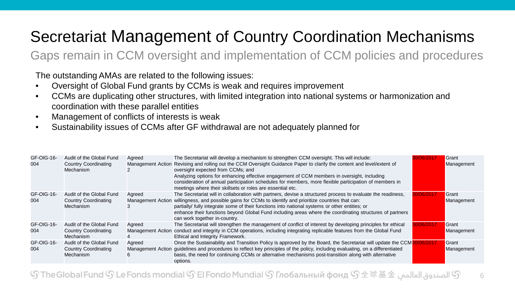### Secretariat Management of Country Coordination Mechanisms

Gaps remain in CCM oversight and implementation of CCM policies and procedures

The outstanding AMAs are related to the following issues:

- Oversight of Global Fund grants by CCMs is weak and requires improvement
- CCMs are duplicating other structures, with limited integration into national systems or harmonization and coordination with these parallel entities
- Management of conflicts of interests is weak
- Sustainability issues of CCMs after GF withdrawal are not adequately planned for

| GF-OIG-16-<br>004 | Audit of the Global Fund<br><b>Country Coordinating</b><br>Mechanism | Agreed      | The Secretariat will develop a mechanism to strengthen CCM oversight. This will include:<br>Management Action Revising and rolling out the CCM Oversight Guidance Paper to clarify the content and level/extent of<br>oversight expected from CCMs; and<br>Analyzing options for enhancing effective engagement of CCM members in oversight, including<br>consideration of annual participation schedules for members, more flexible participation of members in<br>meetings where their skillsets or roles are essential etc. | Grant<br>Management |
|-------------------|----------------------------------------------------------------------|-------------|--------------------------------------------------------------------------------------------------------------------------------------------------------------------------------------------------------------------------------------------------------------------------------------------------------------------------------------------------------------------------------------------------------------------------------------------------------------------------------------------------------------------------------|---------------------|
| GF-OIG-16-<br>004 | Audit of the Global Fund<br><b>Country Coordinating</b><br>Mechanism | Agreed      | The Secretariat will in collaboration with partners, devise a structured process to evaluate the readiness,<br>Management Action willingness, and possible gains for CCMs to identify and prioritize countries that can:<br>partially/ fully integrate some of their functions into national systems or other entities; or<br>enhance their functions beyond Global Fund including areas where the coordinating structures of partners<br>can work together in-country.                                                        | Grant<br>Management |
| GF-OIG-16-<br>004 | Audit of the Global Fund<br><b>Country Coordinating</b><br>Mechanism | Agreed<br>4 | The Secretariat will strengthen the management of conflict of interest by developing principles for ethical<br>Management Action conduct and integrity in CCM operations, including integrating replicable features from the Global Fund<br>Ethical and Integrity Framework.                                                                                                                                                                                                                                                   | Grant<br>Management |
| GF-OIG-16-<br>004 | Audit of the Global Fund<br><b>Country Coordinating</b><br>Mechanism | Agreed      | Once the Sustainability and Transition Policy is approved by the Board, the Secretariat will update the CCM <sup>3</sup><br>Management Action guidelines and procedures to reflect key principles of the policy, including evaluating, on a differentiated<br>basis, the need for continuing CCMs or alternative mechanisms post-transition along with alternative<br>options.                                                                                                                                                 | Grant<br>Management |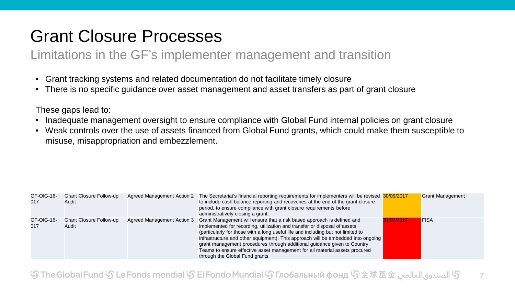### Grant Closure Processes

### Limitations in the GF's implementer management and transition

- Grant tracking systems and related documentation do not facilitate timely closure
- There is no specific guidance over asset management and asset transfers as part of grant closure

These gaps lead to:

- Inadequate management oversight to ensure compliance with Global Fund internal policies on grant closure
- Weak controls over the use of assets financed from Global Fund grants, which could make them susceptible to misuse, misappropriation and embezzlement.

| GF-OIG-16-<br>017 | Grant Closure Follow-up<br>Audit |                            | Agreed Management Action 2 The Secretariat's financial reporting requirements for implementers will be revised 30/09/2017<br>to include cash balance reporting and recoveries at the end of the grant closure<br>period, to ensure compliance with grant closure requirements before<br>administratively closing a grant.                                                                                                                                                                                                |            | <b>Grant Management</b> |
|-------------------|----------------------------------|----------------------------|--------------------------------------------------------------------------------------------------------------------------------------------------------------------------------------------------------------------------------------------------------------------------------------------------------------------------------------------------------------------------------------------------------------------------------------------------------------------------------------------------------------------------|------------|-------------------------|
| GF-OIG-16-<br>017 | Grant Closure Follow-up<br>Audit | Agreed Management Action 3 | Grant Management will ensure that a risk based approach is defined and<br>implemented for recording, utilization and transfer or disposal of assets<br>(particularly for those with a long useful life and including but not limited to<br>infrastructure and other equipment). This approach will be embedded into ongoing<br>grant management procedures through additional guidance given to Country<br>Teams to ensure effective asset management for all material assets procured<br>through the Global Fund grants | 31/03/2017 | <b>FISA</b>             |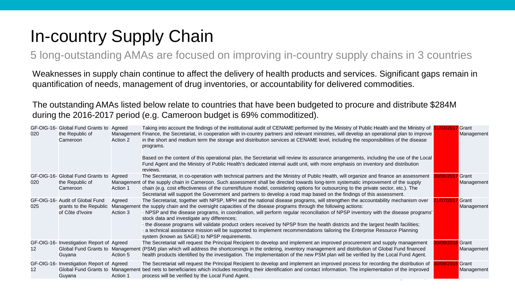## In-country Supply Chain

5 long-outstanding AMAs are focused on improving in-country supply chains in 3 countries

Weaknesses in supply chain continue to affect the delivery of health products and services. Significant gaps remain in quantification of needs, management of drug inventories, or accountability for delivered commodities.

The outstanding AMAs listed below relate to countries that have been budgeted to procure and distribute \$284M during the 2016-2017 period (e.g. Cameroon budget is 69% commoditized).

| 020 | GF-OIG-16- Global Fund Grants to<br>the Republic of<br>Cameroon                         | Agreed<br>Management<br>Action 2 | Taking into account the findings of the institutional audit of CENAME performed by the Ministry of Public Health and the Ministry of 31/03/2017<br>Finance, the Secretariat, in cooperation with in-country partners and relevant ministries, will develop an operational plan to improve<br>in the short and medium term the storage and distribution services at CENAME level, including the responsibilities of the disease<br>programs.<br>Based on the content of this operational plan, the Secretariat will review its assurance arrangements, including the use of the Local<br>Fund Agent and the Ministry of Public Health's dedicated internal audit unit, with more emphasis on inventory and distribution<br>reviews.                   | Grant<br>Management |
|-----|-----------------------------------------------------------------------------------------|----------------------------------|------------------------------------------------------------------------------------------------------------------------------------------------------------------------------------------------------------------------------------------------------------------------------------------------------------------------------------------------------------------------------------------------------------------------------------------------------------------------------------------------------------------------------------------------------------------------------------------------------------------------------------------------------------------------------------------------------------------------------------------------------|---------------------|
| 020 | GF-OIG-16- Global Fund Grants to<br>the Republic of<br>Cameroon                         | Agreed<br>Action 1               | The Secretariat, in co-operation with technical partners and the Ministry of Public Health, will organize and finance an assessment<br>Management of the supply chain in Cameroon. Such assessment shall be directed towards long-term systematic improvement of the supply<br>chain (e.g. cost effectiveness of the current/future model, considering options for outsourcing to the private sector, etc.). The<br>Secretariat will support the Government and partners to develop a road map based on the findings of this assessment.                                                                                                                                                                                                             | Grant<br>Management |
| 025 | GF-OIG-16- Audit of Global Fund<br>grants to the Republic<br>of Côte d'Ivoire           | Agreed<br>Action 3               | The Secretariat, together with NPSP, MPH and the national disease programs, will strengthen the accountability mechanism over<br>Management the supply chain and the oversight capacities of the disease programs through the following actions:<br>· NPSP and the disease programs, in coordination, will perform regular reconciliation of NPSP inventory with the disease programs'<br>stock data and investigate any differences;<br>the disease programs will validate product orders received by NPSP from the health districts and the largest health facilities;<br>a technical assistance mission will be supported to implement recommendations tailoring the Enterprise Resource Planning<br>system (known as SAGE) to NPSP requirements. | Grant<br>Management |
| 12  | GF-OIG-16- Investigation Report of Agreed<br>Global Fund Grants to Management<br>Guyana | Action 5                         | The Secretariat will request the Principal Recipient to develop and implement an improved procurement and supply management<br>(PSM) plan which will address the shortcomings in the ordering, inventory management and distribution of Global Fund financed<br>health products identified by the investigation. The implementation of the new PSM plan will be verified by the Local Fund Agent.                                                                                                                                                                                                                                                                                                                                                    | Grant<br>Management |
| 12  | GF-OIG-16- Investigation Report of Agreed<br>Global Fund Grants to Management<br>Guyana | Action 1                         | The Secretariat will request the Principal Recipient to develop and implement an improved process for recording the distribution of<br>bed nets to beneficiaries which includes recording their identification and contact information. The implementation of the improved<br>process will be verified by the Local Fund Agent.                                                                                                                                                                                                                                                                                                                                                                                                                      | Grant<br>Management |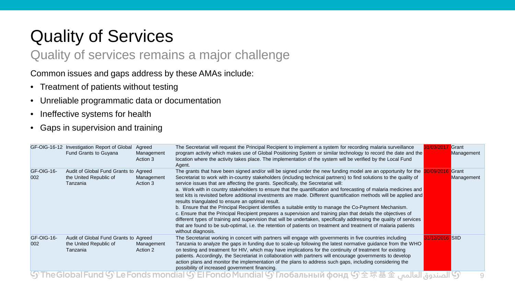## Quality of Services

### Quality of services remains a major challenge

Common issues and gaps address by these AMAs include:

- Treatment of patients without testing
- Unreliable programmatic data or documentation
- Ineffective systems for health
- Gaps in supervision and training

|                   | GF-OIG-16-12 Investigation Report of Global<br>Fund Grants to Guyana        | Agreed<br>Management<br>Action 3 | The Secretariat will request the Principal Recipient to implement a system for recording malaria surveillance<br>program activity which makes use of Global Positioning System or similar technology to record the date and the<br>location where the activity takes place. The implementation of the system will be verified by the Local Fund<br>Agent.                                                                                                                                                                                                                                                                                                                                                                                                                                                                                                                                                                                                                                                                                                                                                              | Grant<br>Management |
|-------------------|-----------------------------------------------------------------------------|----------------------------------|------------------------------------------------------------------------------------------------------------------------------------------------------------------------------------------------------------------------------------------------------------------------------------------------------------------------------------------------------------------------------------------------------------------------------------------------------------------------------------------------------------------------------------------------------------------------------------------------------------------------------------------------------------------------------------------------------------------------------------------------------------------------------------------------------------------------------------------------------------------------------------------------------------------------------------------------------------------------------------------------------------------------------------------------------------------------------------------------------------------------|---------------------|
| GF-OIG-16-<br>002 | Audit of Global Fund Grants to Agreed<br>the United Republic of<br>Tanzania | Management<br>Action 3           | The grants that have been signed and/or will be signed under the new funding model are an opportunity for the<br>Secretariat to work with in-country stakeholders (including technical partners) to find solutions to the quality of<br>service issues that are affecting the grants. Specifically, the Secretariat will:<br>a. Work with in country stakeholders to ensure that the quantification and forecasting of malaria medicines and<br>test kits is revisited before additional investments are made. Different quantification methods will be applied and<br>results triangulated to ensure an optimal result.<br>b. Ensure that the Principal Recipient identifies a suitable entity to manage the Co-Payment Mechanism.<br>c. Ensure that the Principal Recipient prepares a supervision and training plan that details the objectives of<br>different types of training and supervision that will be undertaken, specifically addressing the quality of services<br>that are found to be sub-optimal, i.e. the retention of patients on treatment and treatment of malaria patients<br>without diagnosis. | Grant<br>Management |
| GF-OIG-16-<br>002 | Audit of Global Fund Grants to Agreed<br>the United Republic of<br>Tanzania | Management<br>Action 2           | The Secretariat working in concert with partners will engage with governments in five countries including<br>Tanzania to analyze the gaps in funding due to scale-up following the latest normative guidance from the WHO<br>on testing and treatment for HIV, which may have implications for the continuity of treatment for existing<br>patients. Accordingly, the Secretariat in collaboration with partners will encourage governments to develop<br>action plans and monitor the implementation of the plans to address such gaps, including considering the<br>possibility of increased government financing.                                                                                                                                                                                                                                                                                                                                                                                                                                                                                                   | <b>SIID</b>         |
|                   |                                                                             |                                  | Э) الصندوق العالمين Фэнд (9) Фара Билд (9) Ен Fondo Mundial (9) Глобальный фонд (9) $\pm$ تلا هالمريوق العالمين وين العالمين وين العالمين وين العالمين وين العالمين وين العالمين وين العالمين وين العالمين وين العالمين وين                                                                                                                                                                                                                                                                                                                                                                                                                                                                                                                                                                                                                                                                                                                                                                                                                                                                                            |                     |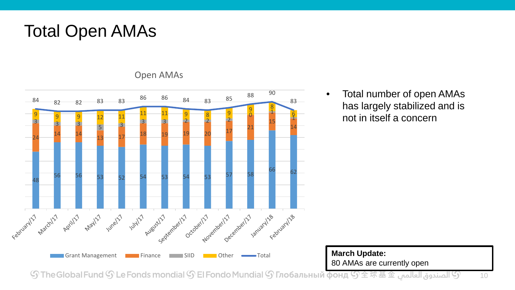### Total Open AMAs



Open AMAs

• Total number of open AMAs has largely stabilized and is not in itself a concern

**March Update:** 80 AMAs are currently open

 ${\mathbb S}$  El Fonds mondial  ${\mathbb S}$  El Fondo Mundial  ${\mathbb S}$  Глобальный фонд  ${\mathbb S}$   $\pm$   $\bar x$   $\bar x$   $\pm$   $\hat x$  الصندوق العالمى  ${\mathbb S}$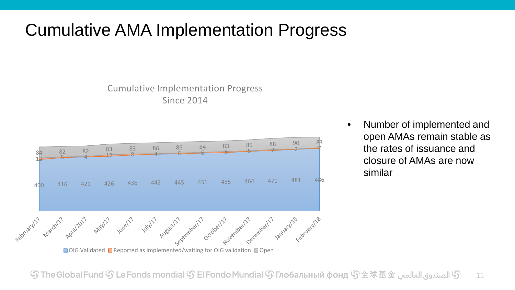### Cumulative AMA Implementation Progress

#### Cumulative Implementation Progress Since 2014



 $\Box$  OIG Validated  $\Box$  Reported as implemented/waiting for OIG validation  $\Box$  Open

• Number of implemented and open AMAs remain stable as the rates of issuance and closure of AMAs are now similar

 ${\mathbb S}$  الصندوق العالمي  ${\mathbb S}$  The Global Fund  ${\mathbb S}$  Le Fonds mondial  ${\mathbb S}$  El Fondo Mundial  ${\mathbb S}$  Глобальный фонд  ${\mathbb S}$   $\pm$   $\mathbb R$   $\pm$   $\pm$   $\pm$ 11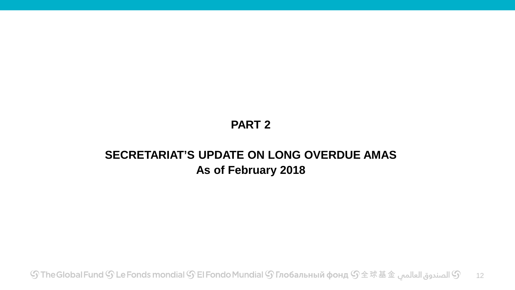### **PART 2**

### **SECRETARIAT'S UPDATE ON LONG OVERDUE AMAS As of February 2018**

் பெடு De Fonds mondial  $\mathbb S$  El Fondo Mundial  $\mathbb S$  Глобальный фонд  $\mathbb S$ 全球基金 الصندوق العالمب $\mathbb S$ 12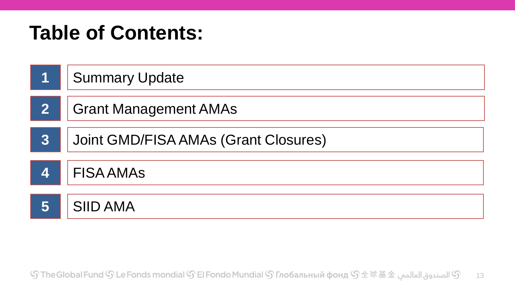## **Table of Contents:**

| 1                       | <b>Summary Update</b>                |
|-------------------------|--------------------------------------|
| $\overline{\mathbf{2}}$ | <b>Grant Management AMAs</b>         |
| $3\overline{3}$         | Joint GMD/FISA AMAs (Grant Closures) |
| $\overline{\mathbf{A}}$ | <b>FISA AMAS</b>                     |
| 5                       | <b>SIID AMA</b>                      |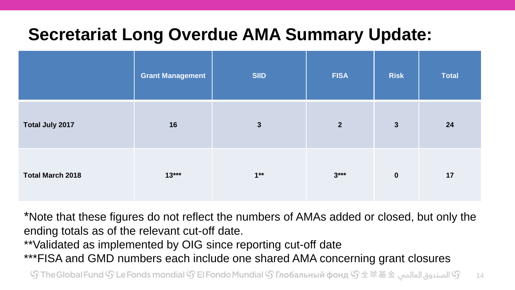## **Secretariat Long Overdue AMA Summary Update:**

|                         | <b>Grant Management</b> | <b>SIID</b>  | <b>FISA</b>    | <b>Risk</b>  | <b>Total</b> |
|-------------------------|-------------------------|--------------|----------------|--------------|--------------|
| Total July 2017         | 16                      | $\mathbf{3}$ | $\overline{2}$ | $\mathbf{3}$ | 24           |
| <b>Total March 2018</b> | $13***$                 | $1**$        | $3***$         | $\mathbf 0$  | 17           |

\*Note that these figures do not reflect the numbers of AMAs added or closed, but only the ending totals as of the relevant cut-off date.

\*\*Validated as implemented by OIG since reporting cut-off date

\*\*\*FISA and GMD numbers each include one shared AMA concerning grant closures

 ${\mathbb S}$  الصندوق العالمي  ${\mathbb S}$  The Global Fund  ${\mathbb S}$  Le Fonds mondial  ${\mathbb S}$  El Fondo Mundial  ${\mathbb S}$  Глобальный фонд  ${\mathbb S}$   $\pm$   $\mathbb R$   $\pm$   $\pm$   $\pm$  $14$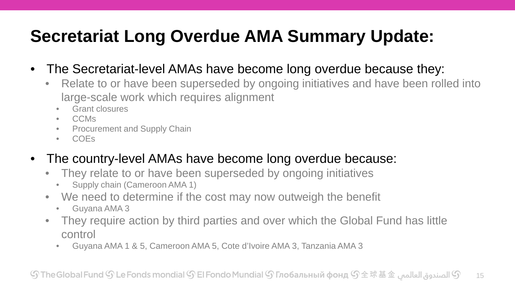## **Secretariat Long Overdue AMA Summary Update:**

- The Secretariat-level AMAs have become long overdue because they:
	- Relate to or have been superseded by ongoing initiatives and have been rolled into large-scale work which requires alignment
		- Grant closures
		- CCMs
		- Procurement and Supply Chain
		- COEs
- The country-level AMAs have become long overdue because:
	- They relate to or have been superseded by ongoing initiatives
		- Supply chain (Cameroon AMA 1)
	- We need to determine if the cost may now outweigh the benefit
		- Guyana AMA 3
	- They require action by third parties and over which the Global Fund has little control
		- Guyana AMA 1 & 5, Cameroon AMA 5, Cote d'Ivoire AMA 3, Tanzania AMA 3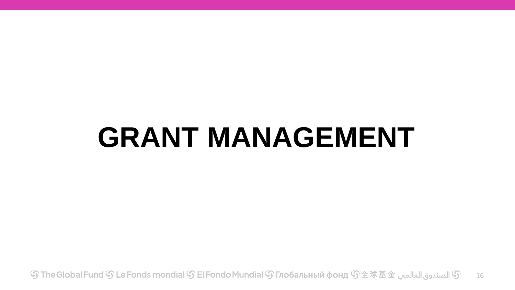# **GRANT MANAGEMENT**

் பெடு De Fonds mondial  $\mathbb S$  El Fondo Mundial  $\mathbb S$  Глобальный фонд  $\mathbb S$ 全球基金 الصندوق العالمبي $\mathbb S$ 16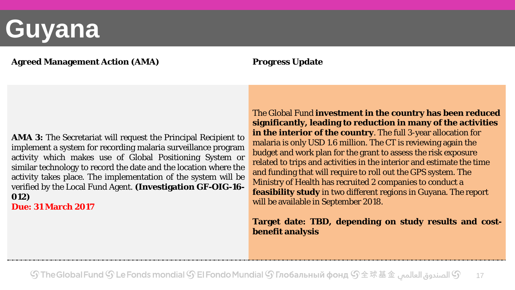# **Guyana**

#### **Agreed Management Action (AMA) Progress Update**

**AMA 3:** The Secretariat will request the Principal Recipient to implement a system for recording malaria surveillance program activity which makes use of Global Positioning System or similar technology to record the date and the location where the activity takes place. The implementation of the system will be verified by the Local Fund Agent. **(Investigation GF-OIG-16- 012)**

**Due: 31 March 2017**

The Global Fund **investment in the country has been reduced significantly, leading to reduction in many of the activities in the interior of the country**. The full 3-year allocation for malaria is only USD 1.6 million. The CT is reviewing again the budget and work plan for the grant to assess the risk exposure related to trips and activities in the interior and estimate the time and funding that will require to roll out the GPS system. The Ministry of Health has recruited 2 companies to conduct a **feasibility study** in two different regions in Guyana. The report will be available in September 2018.

#### **Target date: TBD, depending on study results and costbenefit analysis**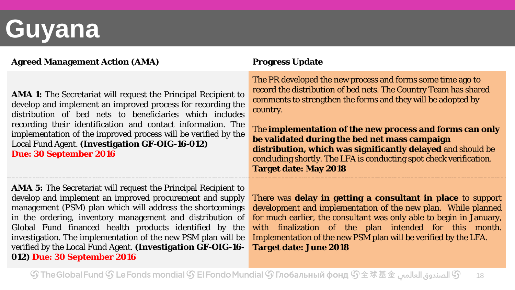# **Guyana**

#### **Agreed Management Action (AMA) Progress Update**

**AMA 1:** The Secretariat will request the Principal Recipient to develop and implement an improved process for recording the distribution of bed nets to beneficiaries which includes recording their identification and contact information. The implementation of the improved process will be verified by the Local Fund Agent. **(Investigation GF-OIG-16-012) Due: 30 September 2016**

**AMA 5:** The Secretariat will request the Principal Recipient to develop and implement an improved procurement and supply management (PSM) plan which will address the shortcomings in the ordering, inventory management and distribution of Global Fund financed health products identified by the investigation. The implementation of the new PSM plan will be verified by the Local Fund Agent. **(Investigation GF-OIG-16- 012) Due: 30 September 2016**

The PR developed the new process and forms some time ago to record the distribution of bed nets. The Country Team has shared comments to strengthen the forms and they will be adopted by country.

The **implementation of the new process and forms can only be validated during the bed net mass campaign distribution, which was significantly delayed** and should be concluding shortly. The LFA is conducting spot check verification. **Target date: May 2018**

There was **delay in getting a consultant in place** to support development and implementation of the new plan. While planned for much earlier, the consultant was only able to begin in January, with finalization of the plan intended for this month. Implementation of the new PSM plan will be verified by the LFA. **Target date: June 2018**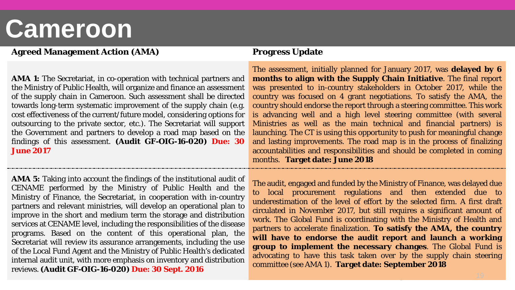## **Cameroon**

#### **Agreed Management Action (AMA) Progress Update**

**AMA 1:** The Secretariat, in co-operation with technical partners and the Ministry of Public Health, will organize and finance an assessment of the supply chain in Cameroon. Such assessment shall be directed towards long-term systematic improvement of the supply chain (e.g. cost effectiveness of the current/future model, considering options for outsourcing to the private sector, etc.). The Secretariat will support the Government and partners to develop a road map based on the findings of this assessment. **(Audit GF-OIG-16-020) Due: 30 June 2017**

**AMA 5:** Taking into account the findings of the institutional audit of CENAME performed by the Ministry of Public Health and the Ministry of Finance, the Secretariat, in cooperation with in-country partners and relevant ministries, will develop an operational plan to improve in the short and medium term the storage and distribution services at CENAME level, including the responsibilities of the disease programs. Based on the content of this operational plan, the Secretariat will review its assurance arrangements, including the use of the Local Fund Agent and the Ministry of Public Health's dedicated internal audit unit, with more emphasis on inventory and distribution reviews. **(Audit GF-OIG-16-020) Due: 30 Sept. 2016**

The assessment, initially planned for January 2017, was **delayed by 6 months to align with the Supply Chain Initiative**. The final report was presented to in-country stakeholders in October 2017, while the country was focused on 4 grant negotiations. To satisfy the AMA, the country should endorse the report through a steering committee. This work is advancing well and a high level steering committee (with several Ministries as well as the main technical and financial partners) is launching. The CT is using this opportunity to push for meaningful change and lasting improvements. The road map is in the process of finalizing accountabilities and responsibilities and should be completed in coming months. **Target date: June 2018**

The audit, engaged and funded by the Ministry of Finance, was delayed due to local procurement regulations and then extended due to underestimation of the level of effort by the selected firm. A first draft circulated in November 2017, but still requires a significant amount of work. The Global Fund is coordinating with the Ministry of Health and partners to accelerate finalization. **To satisfy the AMA, the country will have to endorse the audit report and launch a working group to implement the necessary changes**. The Global Fund is advocating to have this task taken over by the supply chain steering committee (see AMA 1). **Target date: September 2018**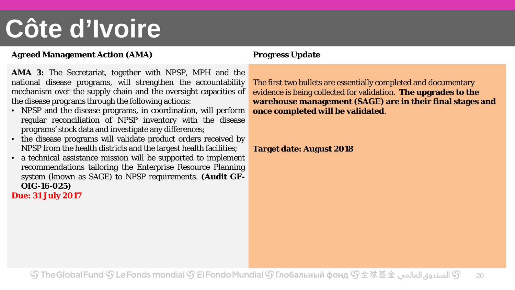# **Côte d'Ivoire**

#### **Agreed Management Action (AMA) Progress Update**

**AMA 3:** The Secretariat, together with NPSP, MPH and the national disease programs, will strengthen the accountability mechanism over the supply chain and the oversight capacities of the disease programs through the following actions:

- NPSP and the disease programs, in coordination, will perform regular reconciliation of NPSP inventory with the disease programs' stock data and investigate any differences;
- the disease programs will validate product orders received by NPSP from the health districts and the largest health facilities;
- a technical assistance mission will be supported to implement recommendations tailoring the Enterprise Resource Planning system (known as SAGE) to NPSP requirements. **(Audit GF-OIG-16-025)**

**Due: 31 July 2017**

The first two bullets are essentially completed and documentary evidence is being collected for validation. **The upgrades to the warehouse management (SAGE) are in their final stages and once completed will be validated**.

#### **Target date: August 2018**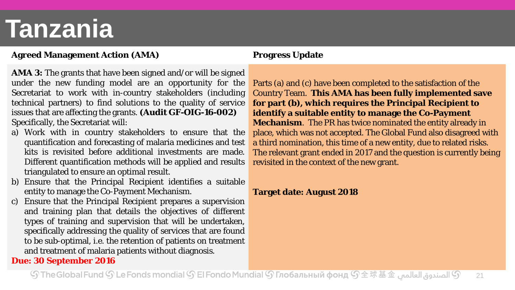# **Tanzania**

#### **Agreed Management Action (AMA) Progress Update**

- **AMA 3:** The grants that have been signed and/or will be signed under the new funding model are an opportunity for the Secretariat to work with in-country stakeholders (including technical partners) to find solutions to the quality of service issues that are affecting the grants. **(Audit GF-OIG-16-002)** Specifically, the Secretariat will:
- a) Work with in country stakeholders to ensure that the quantification and forecasting of malaria medicines and test kits is revisited before additional investments are made. Different quantification methods will be applied and results triangulated to ensure an optimal result.
- b) Ensure that the Principal Recipient identifies a suitable entity to manage the Co-Payment Mechanism.
- c) Ensure that the Principal Recipient prepares a supervision and training plan that details the objectives of different types of training and supervision that will be undertaken, specifically addressing the quality of services that are found to be sub-optimal, i.e. the retention of patients on treatment and treatment of malaria patients without diagnosis.

#### **Due: 30 September 2016**

Parts (a) and (c) have been completed to the satisfaction of the Country Team. **This AMA has been fully implemented save for part (b), which requires the Principal Recipient to identify a suitable entity to manage the Co-Payment Mechanism**. The PR has twice nominated the entity already in place, which was not accepted. The Global Fund also disagreed with a third nomination, this time of a new entity, due to related risks. The relevant grant ended in 2017 and the question is currently being revisited in the context of the new grant.

#### **Target date: August 2018**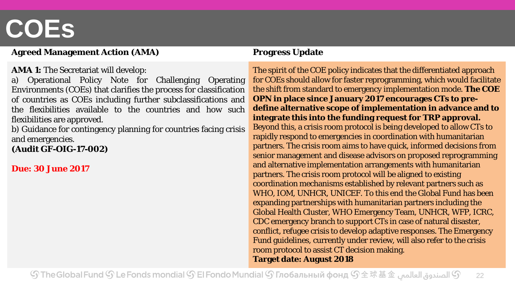# **COEs**

#### **Agreed Management Action (AMA) Progress Update**

#### **AMA 1:** The Secretariat will develop:

a) Operational Policy Note for Challenging Operating Environments (COEs) that clarifies the process for classification of countries as COEs including further subclassifications and the flexibilities available to the countries and how such flexibilities are approved.

b) Guidance for contingency planning for countries facing crisis and emergencies.

**(Audit GF-OIG-17-002)**

**Due: 30 June 2017**

The spirit of the COE policy indicates that the differentiated approach for COEs should allow for faster reprogramming, which would facilitate the shift from standard to emergency implementation mode. **The COE OPN in place since January 2017 encourages CTs to predefine alternative scope of implementation in advance and to integrate this into the funding request for TRP approval.** Beyond this, a crisis room protocol is being developed to allow CTs to rapidly respond to emergencies in coordination with humanitarian partners. The crisis room aims to have quick, informed decisions from senior management and disease advisors on proposed reprogramming and alternative implementation arrangements with humanitarian partners. The crisis room protocol will be aligned to existing coordination mechanisms established by relevant partners such as WHO, IOM, UNHCR, UNICEF. To this end the Global Fund has been expanding partnerships with humanitarian partners including the Global Health Cluster, WHO Emergency Team, UNHCR, WFP, ICRC, CDC emergency branch to support CTs in case of natural disaster, conflict, refugee crisis to develop adaptive responses. The Emergency Fund guidelines, currently under review, will also refer to the crisis room protocol to assist CT decision making. **Target date: August 2018**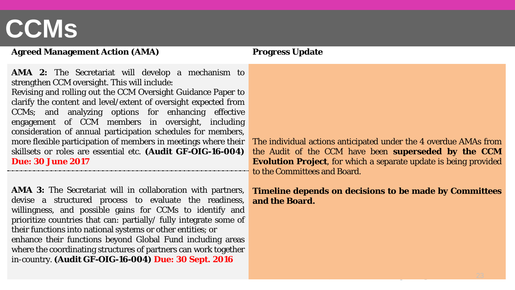# **CCMs**

#### **Agreed Management Action (AMA) Progress Update**

**AMA 2:** The Secretariat will develop a mechanism to strengthen CCM oversight. This will include:

Revising and rolling out the CCM Oversight Guidance Paper to clarify the content and level/extent of oversight expected from CCMs; and analyzing options for enhancing effective engagement of CCM members in oversight, including consideration of annual participation schedules for members, more flexible participation of members in meetings where their skillsets or roles are essential etc. **(Audit GF-OIG-16-004) Due: 30 June 2017**

**AMA 3:** The Secretariat will in collaboration with partners, devise a structured process to evaluate the readiness, willingness, and possible gains for CCMs to identify and prioritize countries that can: partially/ fully integrate some of their functions into national systems or other entities; or enhance their functions beyond Global Fund including areas where the coordinating structures of partners can work together in-country. **(Audit GF-OIG-16-004) Due: 30 Sept. 2016**

The individual actions anticipated under the 4 overdue AMAs from the Audit of the CCM have been **superseded by the CCM Evolution Project**, for which a separate update is being provided to the Committees and Board.

#### **Timeline depends on decisions to be made by Committees and the Board.**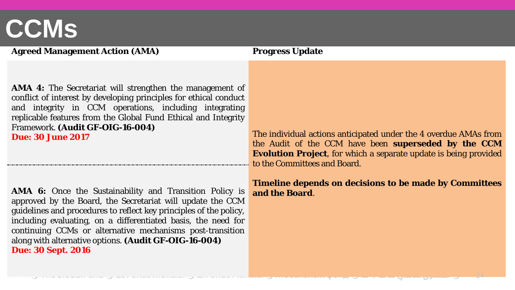## **CCMs**

#### **Agreed Management Action (AMA) Progress Update**

**AMA 4:** The Secretariat will strengthen the management of conflict of interest by developing principles for ethical conduct and integrity in CCM operations, including integrating replicable features from the Global Fund Ethical and Integrity Framework. **(Audit GF-OIG-16-004)**

**AMA 6:** Once the Sustainability and Transition Policy is and the Board approved by the Board, the Secretariat will update the CCM guidelines and procedures to reflect key principles of the policy, including evaluating, on a differentiated basis, the need for continuing CCMs or alternative mechanisms post-transition along with alternative options. **(Audit GF-OIG-16-004) Due: 30 Sept. 2016**

**Due: 30 June 2017** The individual actions anticipated under the 4 overdue AMAs from the Audit of the CCM have been **superseded by the CCM Evolution Project**, for which a separate update is being provided to the Committees and Board.

**Timeline depends on decisions to be made by Committees**

24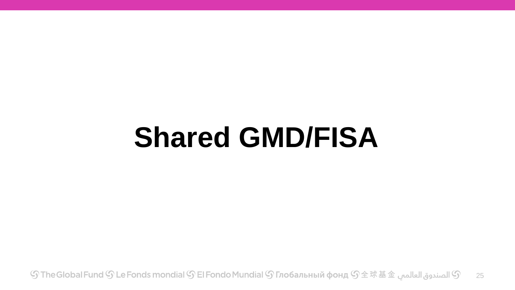# **Shared GMD/FISA**

 $\mathbb G$  الصندوق العالمي  $\mathbb G \oplus \mathbb F$  The Global Fund  $\mathbb G$  Le Fonds mondial  $\mathbb G$  El Fondo Mundial  $\mathbb G$  Глобальный фонд  $\mathbb G \oplus \mathbb R$   $\mathbb H$ 25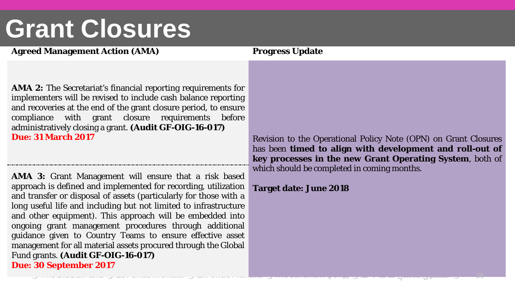# **Grant Closures**

#### **Agreed Management Action (AMA) Progress Update**

**AMA 2:** The Secretariat's financial reporting requirements for implementers will be revised to include cash balance reporting and recoveries at the end of the grant closure period, to ensure compliance with grant closure requirements before administratively closing a grant. **(Audit GF-OIG-16-017)**

**AMA 3:** Grant Management will ensure that a risk based approach is defined and implemented for recording, utilization and transfer or disposal of assets (particularly for those with a long useful life and including but not limited to infrastructure and other equipment). This approach will be embedded into ongoing grant management procedures through additional guidance given to Country Teams to ensure effective asset management for all material assets procured through the Global Fund grants. **(Audit GF-OIG-16-017) Due: 30 September 2017**

**Due: 31 March 2017** Revision to the Operational Policy Note (OPN) on Grant Closures has been **timed to align with development and roll-out of key processes in the new Grant Operating System**, both of which should be completed in coming months.

#### **Target date: June 2018**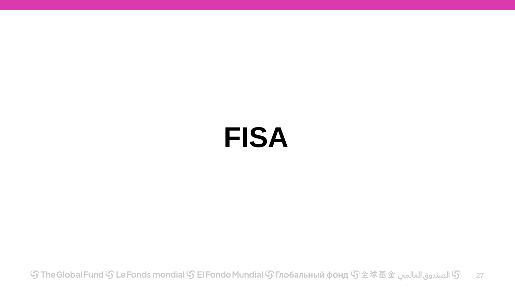# **FISA**

் பெடு De Fonds mondial  $\mathbb S$  El Fondo Mundial  $\mathbb S$  Глобальный фонд  $\mathbb S$ 全球基金 الصندوق العالمبي $\mathbb S$ 27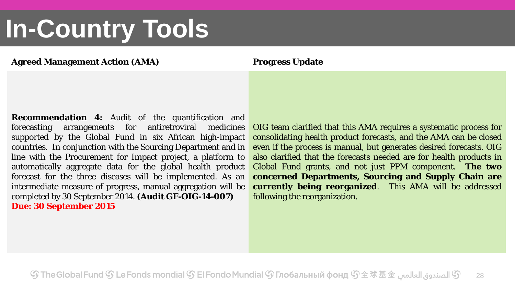# **In-Country Tools**

#### **Agreed Management Action (AMA) Progress Update**

**Recommendation 4:** Audit of the quantification and forecasting arrangements for antiretroviral medicines supported by the Global Fund in six African high-impact countries. In conjunction with the Sourcing Department and in line with the Procurement for Impact project, a platform to automatically aggregate data for the global health product forecast for the three diseases will be implemented. As an intermediate measure of progress, manual aggregation will be completed by 30 September 2014. **(Audit GF-OIG-14-007) Due: 30 September 2015**

OIG team clarified that this AMA requires a systematic process for consolidating health product forecasts, and the AMA can be closed even if the process is manual, but generates desired forecasts. OIG also clarified that the forecasts needed are for health products in Global Fund grants, and not just PPM component. **The two concerned Departments, Sourcing and Supply Chain are currently being reorganized**. This AMA will be addressed following the reorganization.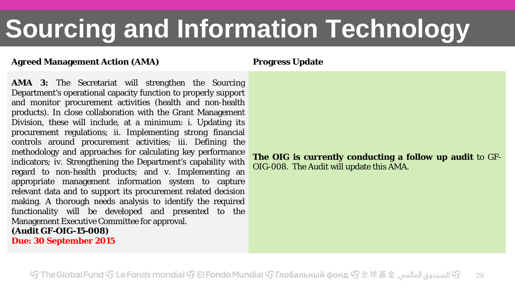# **Sourcing and Information Technology**

#### **Agreed Management Action (AMA) Progress Update**

**AMA 3:** The Secretariat will strengthen the Sourcing Department's operational capacity function to properly support and monitor procurement activities (health and non-health products). In close collaboration with the Grant Management Division, these will include, at a minimum: i. Updating its procurement regulations; ii. Implementing strong financial controls around procurement activities; iii. Defining the methodology and approaches for calculating key performance indicators; iv. Strengthening the Department's capability with regard to non-health products; and v. Implementing an appropriate management information system to capture relevant data and to support its procurement related decision making. A thorough needs analysis to identify the required functionality will be developed and presented to the Management Executive Committee for approval. **(Audit GF-OIG-15-008)**

**Due: 30 September 2015**

**The OIG is currently conducting a follow up audit** to GF-OIG-008. The Audit will update this AMA.

 ${\mathbb S}$  الصندوق العالمي  ${\mathbb S}$  The Global Fund  ${\mathbb S}$  Le Fonds mondial  ${\mathbb S}$  El Fondo Mundial  ${\mathbb S}$  Глобальный фонд  ${\mathbb S}$   $\pm$   $\mathbb R$   $\pm$   $\pm$   $\pm$ 29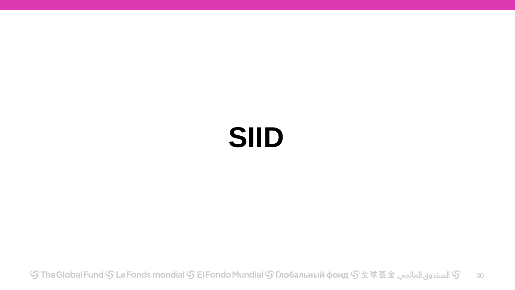# **SIID**

் பெடு De Fonds mondial  $\mathbb S$  El Fondo Mundial  $\mathbb S$  Глобальный фонд  $\mathbb S$ 全球基金 الصندوق العالمبي $\mathbb S$ 30